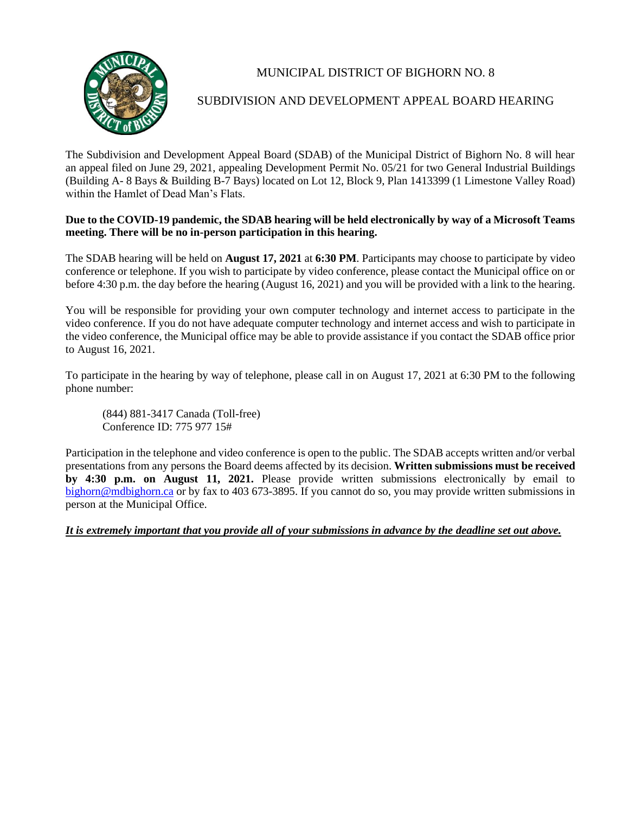

## MUNICIPAL DISTRICT OF BIGHORN NO. 8

## SUBDIVISION AND DEVELOPMENT APPEAL BOARD HEARING

The Subdivision and Development Appeal Board (SDAB) of the Municipal District of Bighorn No. 8 will hear an appeal filed on June 29, 2021, appealing Development Permit No. 05/21 for two General Industrial Buildings (Building A- 8 Bays & Building B-7 Bays) located on Lot 12, Block 9, Plan 1413399 (1 Limestone Valley Road) within the Hamlet of Dead Man's Flats.

## **Due to the COVID-19 pandemic, the SDAB hearing will be held electronically by way of a Microsoft Teams meeting. There will be no in-person participation in this hearing.**

The SDAB hearing will be held on **August 17, 2021** at **6:30 PM**. Participants may choose to participate by video conference or telephone. If you wish to participate by video conference, please contact the Municipal office on or before 4:30 p.m. the day before the hearing (August 16, 2021) and you will be provided with a link to the hearing.

You will be responsible for providing your own computer technology and internet access to participate in the video conference. If you do not have adequate computer technology and internet access and wish to participate in the video conference, the Municipal office may be able to provide assistance if you contact the SDAB office prior to August 16, 2021.

To participate in the hearing by way of telephone, please call in on August 17, 2021 at 6:30 PM to the following phone number:

(844) 881-3417 Canada (Toll-free) Conference ID: 775 977 15#

Participation in the telephone and video conference is open to the public. The SDAB accepts written and/or verbal presentations from any persons the Board deems affected by its decision. **Written submissions must be received by 4:30 p.m. on August 11, 2021.** Please provide written submissions electronically by email to [bighorn@mdbighorn.ca](mailto:bighorn@mdbighorn.ca) or by fax to 403 673-3895. If you cannot do so, you may provide written submissions in person at the Municipal Office.

*It is extremely important that you provide all of your submissions in advance by the deadline set out above.*